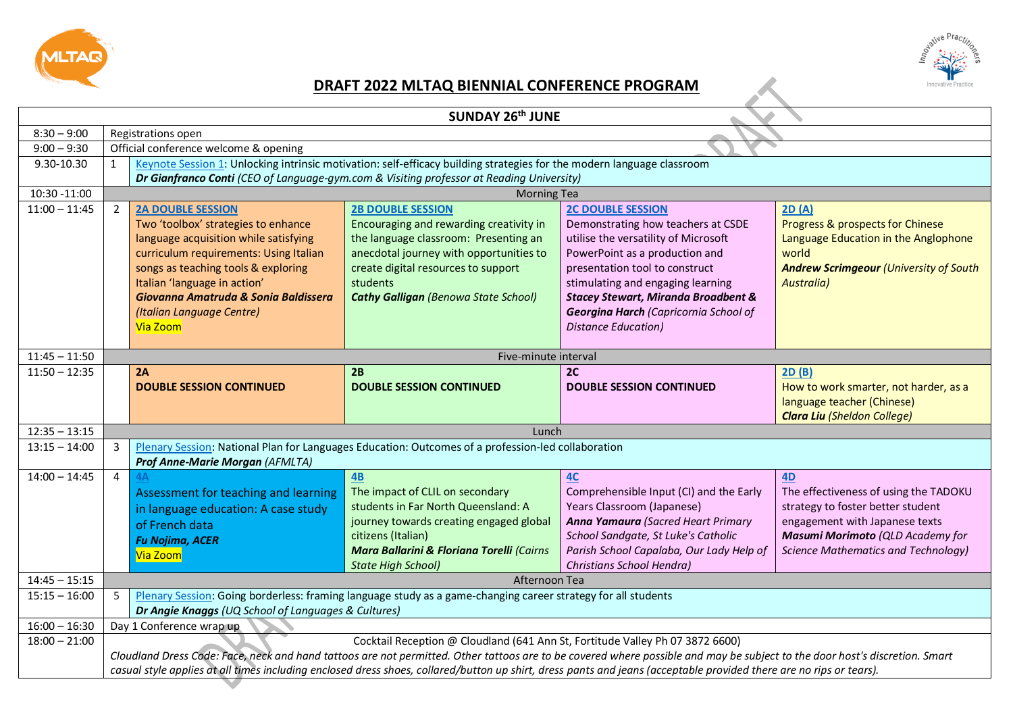



## **DRAFT 2022 MLTAQ BIENNIAL CONFERENCE PROGRAM**

| SUNDAY 26th JUNE |                |                                                                                                                                                                                                                                                                                                                                                                                                                                     |                                                                                                                                                                                                                                                           |                                                                                                                                                                                                                                                                                                                                           |                                                                                                                                                                                                      |
|------------------|----------------|-------------------------------------------------------------------------------------------------------------------------------------------------------------------------------------------------------------------------------------------------------------------------------------------------------------------------------------------------------------------------------------------------------------------------------------|-----------------------------------------------------------------------------------------------------------------------------------------------------------------------------------------------------------------------------------------------------------|-------------------------------------------------------------------------------------------------------------------------------------------------------------------------------------------------------------------------------------------------------------------------------------------------------------------------------------------|------------------------------------------------------------------------------------------------------------------------------------------------------------------------------------------------------|
| $8:30 - 9:00$    |                | Registrations open                                                                                                                                                                                                                                                                                                                                                                                                                  |                                                                                                                                                                                                                                                           |                                                                                                                                                                                                                                                                                                                                           |                                                                                                                                                                                                      |
| $9:00 - 9:30$    |                | Official conference welcome & opening                                                                                                                                                                                                                                                                                                                                                                                               |                                                                                                                                                                                                                                                           |                                                                                                                                                                                                                                                                                                                                           |                                                                                                                                                                                                      |
| 9.30-10.30       |                |                                                                                                                                                                                                                                                                                                                                                                                                                                     | Keynote Session 1: Unlocking intrinsic motivation: self-efficacy building strategies for the modern language classroom                                                                                                                                    |                                                                                                                                                                                                                                                                                                                                           |                                                                                                                                                                                                      |
|                  |                | Dr Gianfranco Conti (CEO of Language-gym.com & Visiting professor at Reading University)                                                                                                                                                                                                                                                                                                                                            |                                                                                                                                                                                                                                                           |                                                                                                                                                                                                                                                                                                                                           |                                                                                                                                                                                                      |
| 10:30 -11:00     |                |                                                                                                                                                                                                                                                                                                                                                                                                                                     | <b>Morning Tea</b>                                                                                                                                                                                                                                        |                                                                                                                                                                                                                                                                                                                                           |                                                                                                                                                                                                      |
| $11:00 - 11:45$  | $2^{\circ}$    | <b>2A DOUBLE SESSION</b><br>Two 'toolbox' strategies to enhance<br>language acquisition while satisfying<br>curriculum requirements: Using Italian<br>songs as teaching tools & exploring<br>Italian 'language in action'<br>Giovanna Amatruda & Sonia Baldissera<br>(Italian Language Centre)<br>Via Zoom                                                                                                                          | <b>2B DOUBLE SESSION</b><br>Encouraging and rewarding creativity in<br>the language classroom: Presenting an<br>anecdotal journey with opportunities to<br>create digital resources to support<br>students<br><b>Cathy Galligan (Benowa State School)</b> | <b>2C DOUBLE SESSION</b><br>Demonstrating how teachers at CSDE<br>utilise the versatility of Microsoft<br>PowerPoint as a production and<br>presentation tool to construct<br>stimulating and engaging learning<br><b>Stacey Stewart, Miranda Broadbent &amp;</b><br>Georgina Harch (Capricornia School of<br><b>Distance Education</b> ) | 2D(A)<br>Progress & prospects for Chinese<br>Language Education in the Anglophone<br>world<br><b>Andrew Scrimgeour (University of South</b><br><b>Australia</b> )                                    |
| $11:45 - 11:50$  |                |                                                                                                                                                                                                                                                                                                                                                                                                                                     | Five-minute interval                                                                                                                                                                                                                                      |                                                                                                                                                                                                                                                                                                                                           |                                                                                                                                                                                                      |
| $11:50 - 12:35$  |                | 2A<br><b>DOUBLE SESSION CONTINUED</b>                                                                                                                                                                                                                                                                                                                                                                                               | 2B<br><b>DOUBLE SESSION CONTINUED</b>                                                                                                                                                                                                                     | 2C<br><b>DOUBLE SESSION CONTINUED</b>                                                                                                                                                                                                                                                                                                     | 2D(B)<br>How to work smarter, not harder, as a<br>language teacher (Chinese)<br><b>Clara Liu (Sheldon College)</b>                                                                                   |
| $12:35 - 13:15$  | Lunch          |                                                                                                                                                                                                                                                                                                                                                                                                                                     |                                                                                                                                                                                                                                                           |                                                                                                                                                                                                                                                                                                                                           |                                                                                                                                                                                                      |
| $13:15 - 14:00$  | $\mathbf{3}$   | Plenary Session: National Plan for Languages Education: Outcomes of a profession-led collaboration<br>Prof Anne-Marie Morgan (AFMLTA)                                                                                                                                                                                                                                                                                               |                                                                                                                                                                                                                                                           |                                                                                                                                                                                                                                                                                                                                           |                                                                                                                                                                                                      |
| $14:00 - 14:45$  | $\overline{4}$ | Assessment for teaching and learning<br>in language education: A case study<br>of French data<br><b>Fu Nojima, ACER</b><br>Via Zoom                                                                                                                                                                                                                                                                                                 | $\overline{AB}$<br>The impact of CLIL on secondary<br>students in Far North Queensland: A<br>journey towards creating engaged global<br>citizens (Italian)<br>Mara Ballarini & Floriana Torelli (Cairns<br><b>State High School)</b>                      | 4C<br>Comprehensible Input (CI) and the Early<br>Years Classroom (Japanese)<br><b>Anna Yamaura</b> (Sacred Heart Primary<br>School Sandgate, St Luke's Catholic<br>Parish School Capalaba, Our Lady Help of<br>Christians School Hendra)                                                                                                  | 4D<br>The effectiveness of using the TADOKU<br>strategy to foster better student<br>engagement with Japanese texts<br>Masumi Morimoto (QLD Academy for<br><b>Science Mathematics and Technology)</b> |
| $14:45 - 15:15$  |                | Afternoon Tea                                                                                                                                                                                                                                                                                                                                                                                                                       |                                                                                                                                                                                                                                                           |                                                                                                                                                                                                                                                                                                                                           |                                                                                                                                                                                                      |
| $15:15 - 16:00$  | 5              | Plenary Session: Going borderless: framing language study as a game-changing career strategy for all students<br>Dr Angie Knaggs (UQ School of Languages & Cultures)                                                                                                                                                                                                                                                                |                                                                                                                                                                                                                                                           |                                                                                                                                                                                                                                                                                                                                           |                                                                                                                                                                                                      |
| $16:00 - 16:30$  |                | Day 1 Conference wrap up                                                                                                                                                                                                                                                                                                                                                                                                            |                                                                                                                                                                                                                                                           |                                                                                                                                                                                                                                                                                                                                           |                                                                                                                                                                                                      |
| $18:00 - 21:00$  |                | Cocktail Reception @ Cloudland (641 Ann St, Fortitude Valley Ph 07 3872 6600)<br>Cloudland Dress Code: Face, neck and hand tattoos are not permitted. Other tattoos are to be covered where possible and may be subject to the door host's discretion. Smart<br>casual style applies at all times including enclosed dress shoes, collared/button up shirt, dress pants and jeans (acceptable provided there are no rips or tears). |                                                                                                                                                                                                                                                           |                                                                                                                                                                                                                                                                                                                                           |                                                                                                                                                                                                      |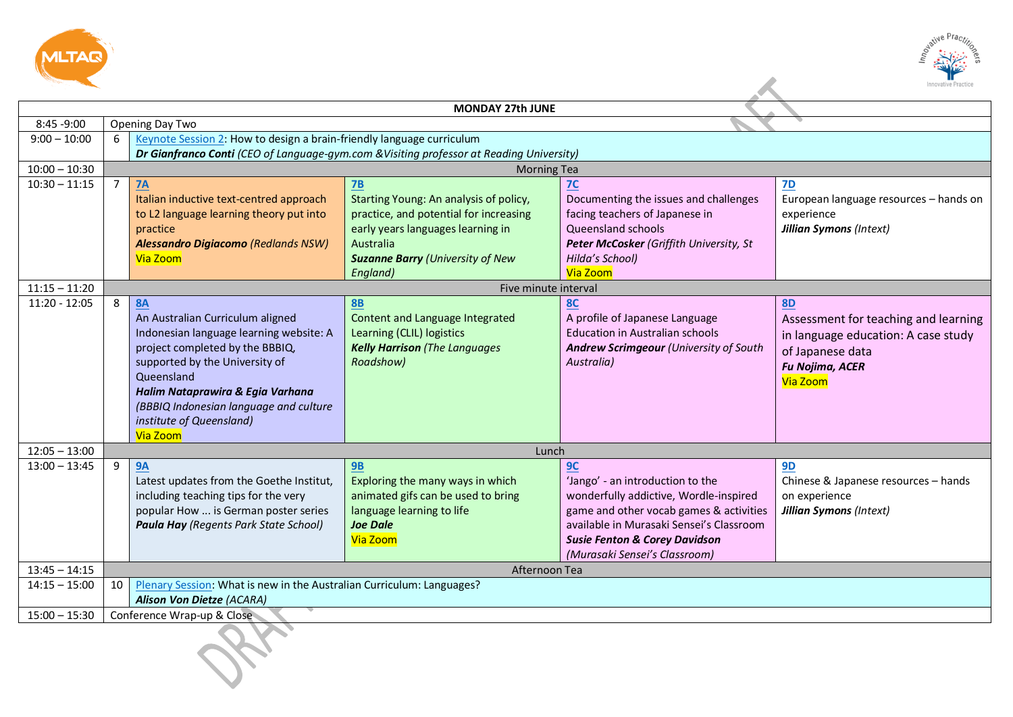



|                 |                 |                                                                                          |                                                                                          |                                          | Innovative Practice                    |
|-----------------|-----------------|------------------------------------------------------------------------------------------|------------------------------------------------------------------------------------------|------------------------------------------|----------------------------------------|
|                 |                 |                                                                                          |                                                                                          |                                          |                                        |
| 8:45 -9:00      |                 |                                                                                          | <b>MONDAY 27th JUNE</b>                                                                  |                                          |                                        |
| $9:00 - 10:00$  | $6-1$           | Opening Day Two<br>Keynote Session 2: How to design a brain-friendly language curriculum |                                                                                          |                                          |                                        |
|                 |                 |                                                                                          | Dr Gianfranco Conti (CEO of Language-gym.com & Visiting professor at Reading University) |                                          |                                        |
| $10:00 - 10:30$ |                 |                                                                                          | <b>Morning Tea</b>                                                                       |                                          |                                        |
| $10:30 - 11:15$ | $\overline{7}$  | <b>7A</b>                                                                                | 7B                                                                                       | 7 <sup>C</sup>                           | <b>7D</b>                              |
|                 |                 | Italian inductive text-centred approach                                                  | Starting Young: An analysis of policy,                                                   | Documenting the issues and challenges    | European language resources - hands on |
|                 |                 | to L2 language learning theory put into                                                  | practice, and potential for increasing                                                   | facing teachers of Japanese in           | experience                             |
|                 |                 | practice                                                                                 | early years languages learning in                                                        | Queensland schools                       | <b>Jillian Symons (Intext)</b>         |
|                 |                 | <b>Alessandro Digiacomo (Redlands NSW)</b>                                               | <b>Australia</b>                                                                         | Peter McCosker (Griffith University, St  |                                        |
|                 |                 | Via Zoom                                                                                 | <b>Suzanne Barry (University of New</b>                                                  | Hilda's School)                          |                                        |
|                 |                 |                                                                                          | England)                                                                                 | Via Zoom                                 |                                        |
| $11:15 - 11:20$ |                 |                                                                                          | Five minute interval                                                                     |                                          |                                        |
| $11:20 - 12:05$ | 8               | <b>8A</b>                                                                                | <b>8B</b>                                                                                | <b>8C</b>                                | <b>8D</b>                              |
|                 |                 | An Australian Curriculum aligned                                                         | Content and Language Integrated                                                          | A profile of Japanese Language           | Assessment for teaching and learning   |
|                 |                 | Indonesian language learning website: A                                                  | Learning (CLIL) logistics                                                                | <b>Education in Australian schools</b>   | in language education: A case study    |
|                 |                 | project completed by the BBBIQ,                                                          | <b>Kelly Harrison</b> (The Languages                                                     | Andrew Scrimgeour (University of South   | of Japanese data                       |
|                 |                 | supported by the University of                                                           | Roadshow)                                                                                | Australia)                               | <b>Fu Nojima, ACER</b>                 |
|                 |                 | Queensland                                                                               |                                                                                          |                                          | Via Zoom                               |
|                 |                 | Halim Nataprawira & Egia Varhana                                                         |                                                                                          |                                          |                                        |
|                 |                 | (BBBIQ Indonesian language and culture                                                   |                                                                                          |                                          |                                        |
|                 |                 | institute of Queensland)                                                                 |                                                                                          |                                          |                                        |
| $12:05 - 13:00$ |                 | Via Zoom                                                                                 | Lunch                                                                                    |                                          |                                        |
| $13:00 - 13:45$ | 9               | <b>9A</b>                                                                                | <b>9B</b>                                                                                | 9C                                       | <b>9D</b>                              |
|                 |                 | Latest updates from the Goethe Institut,                                                 | Exploring the many ways in which                                                         | 'Jango' - an introduction to the         | Chinese & Japanese resources - hands   |
|                 |                 | including teaching tips for the very                                                     | animated gifs can be used to bring                                                       | wonderfully addictive, Wordle-inspired   | on experience                          |
|                 |                 | popular How  is German poster series                                                     | language learning to life                                                                | game and other vocab games & activities  | <b>Jillian Symons (Intext)</b>         |
|                 |                 | Paula Hay (Regents Park State School)                                                    | <b>Joe Dale</b>                                                                          | available in Murasaki Sensei's Classroom |                                        |
|                 |                 |                                                                                          | Via Zoom                                                                                 | <b>Susie Fenton &amp; Corey Davidson</b> |                                        |
|                 |                 |                                                                                          |                                                                                          | (Murasaki Sensei's Classroom)            |                                        |
| $13:45 - 14:15$ |                 |                                                                                          | Afternoon Tea                                                                            |                                          |                                        |
| $14:15 - 15:00$ | 10 <sup>1</sup> | Plenary Session: What is new in the Australian Curriculum: Languages?                    |                                                                                          |                                          |                                        |
|                 |                 | <b>Alison Von Dietze (ACARA)</b>                                                         |                                                                                          |                                          |                                        |
| $15:00 - 15:30$ |                 | Conference Wrap-up & Close                                                               |                                                                                          |                                          |                                        |
|                 |                 |                                                                                          |                                                                                          |                                          |                                        |
|                 |                 |                                                                                          |                                                                                          |                                          |                                        |
|                 |                 |                                                                                          |                                                                                          |                                          |                                        |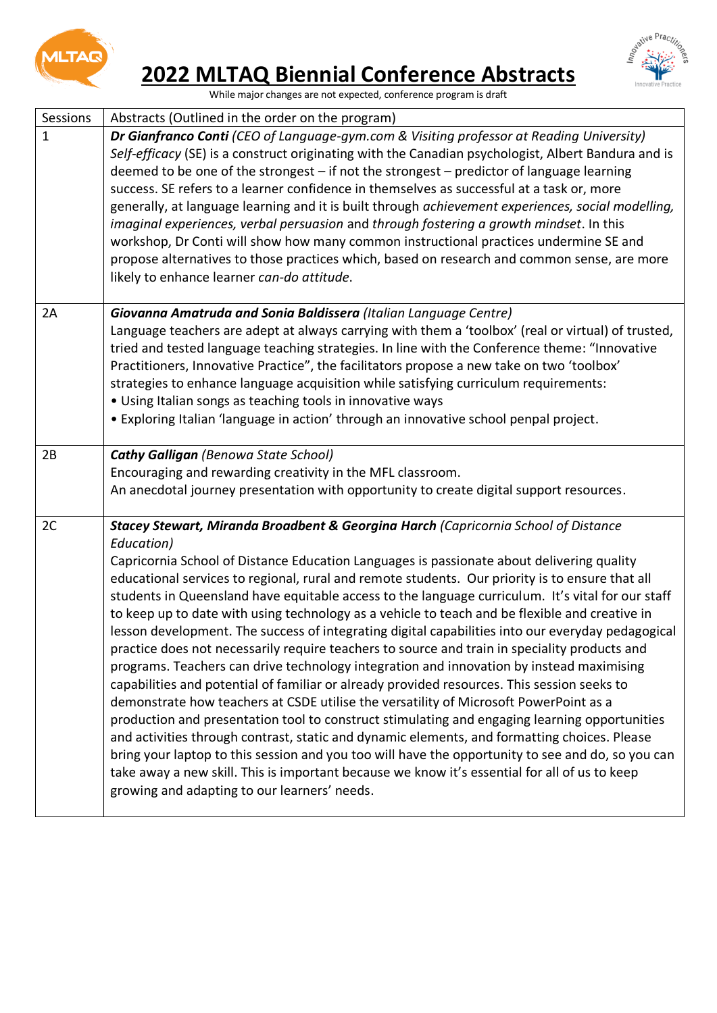

## <span id="page-2-0"></span>**2022 MLTAQ Biennial Conference Abstracts**



While major changes are not expected, conference program is draft

<span id="page-2-2"></span><span id="page-2-1"></span>

| Sessions     | Abstracts (Outlined in the order on the program)                                                                                                                                                                                                                                                                                                                                                                                                                                                                                                                                                                                                                                                                                                                                                                                                                                                                                                                                                                                                                                                                                                                                                                                                                                                                                                                                                                                                         |
|--------------|----------------------------------------------------------------------------------------------------------------------------------------------------------------------------------------------------------------------------------------------------------------------------------------------------------------------------------------------------------------------------------------------------------------------------------------------------------------------------------------------------------------------------------------------------------------------------------------------------------------------------------------------------------------------------------------------------------------------------------------------------------------------------------------------------------------------------------------------------------------------------------------------------------------------------------------------------------------------------------------------------------------------------------------------------------------------------------------------------------------------------------------------------------------------------------------------------------------------------------------------------------------------------------------------------------------------------------------------------------------------------------------------------------------------------------------------------------|
| $\mathbf{1}$ | Dr Gianfranco Conti (CEO of Language-gym.com & Visiting professor at Reading University)<br>Self-efficacy (SE) is a construct originating with the Canadian psychologist, Albert Bandura and is<br>deemed to be one of the strongest - if not the strongest - predictor of language learning<br>success. SE refers to a learner confidence in themselves as successful at a task or, more<br>generally, at language learning and it is built through achievement experiences, social modelling,<br>imaginal experiences, verbal persuasion and through fostering a growth mindset. In this<br>workshop, Dr Conti will show how many common instructional practices undermine SE and<br>propose alternatives to those practices which, based on research and common sense, are more<br>likely to enhance learner can-do attitude.                                                                                                                                                                                                                                                                                                                                                                                                                                                                                                                                                                                                                         |
| 2A           | Giovanna Amatruda and Sonia Baldissera (Italian Language Centre)<br>Language teachers are adept at always carrying with them a 'toolbox' (real or virtual) of trusted,<br>tried and tested language teaching strategies. In line with the Conference theme: "Innovative<br>Practitioners, Innovative Practice", the facilitators propose a new take on two 'toolbox'<br>strategies to enhance language acquisition while satisfying curriculum requirements:<br>· Using Italian songs as teaching tools in innovative ways<br>• Exploring Italian 'language in action' through an innovative school penpal project.                                                                                                                                                                                                                                                                                                                                                                                                                                                                                                                                                                                                                                                                                                                                                                                                                                      |
| 2B           | <b>Cathy Galligan (Benowa State School)</b><br>Encouraging and rewarding creativity in the MFL classroom.<br>An anecdotal journey presentation with opportunity to create digital support resources.                                                                                                                                                                                                                                                                                                                                                                                                                                                                                                                                                                                                                                                                                                                                                                                                                                                                                                                                                                                                                                                                                                                                                                                                                                                     |
| 2C           | Stacey Stewart, Miranda Broadbent & Georgina Harch (Capricornia School of Distance<br>Education)<br>Capricornia School of Distance Education Languages is passionate about delivering quality<br>educational services to regional, rural and remote students. Our priority is to ensure that all<br>students in Queensland have equitable access to the language curriculum. It's vital for our staff<br>to keep up to date with using technology as a vehicle to teach and be flexible and creative in<br>lesson development. The success of integrating digital capabilities into our everyday pedagogical<br>practice does not necessarily require teachers to source and train in speciality products and<br>programs. Teachers can drive technology integration and innovation by instead maximising<br>capabilities and potential of familiar or already provided resources. This session seeks to<br>demonstrate how teachers at CSDE utilise the versatility of Microsoft PowerPoint as a<br>production and presentation tool to construct stimulating and engaging learning opportunities<br>and activities through contrast, static and dynamic elements, and formatting choices. Please<br>bring your laptop to this session and you too will have the opportunity to see and do, so you can<br>take away a new skill. This is important because we know it's essential for all of us to keep<br>growing and adapting to our learners' needs. |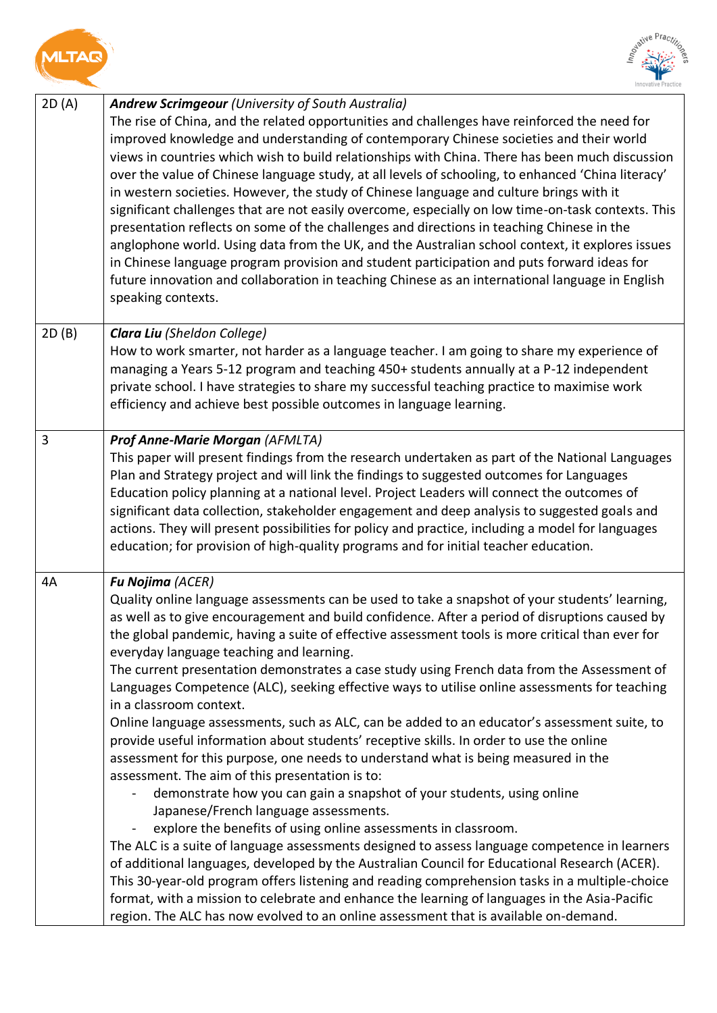<span id="page-3-1"></span><span id="page-3-0"></span>



<span id="page-3-3"></span><span id="page-3-2"></span>

| 2D(A) | <b>Andrew Scrimgeour (University of South Australia)</b><br>The rise of China, and the related opportunities and challenges have reinforced the need for<br>improved knowledge and understanding of contemporary Chinese societies and their world<br>views in countries which wish to build relationships with China. There has been much discussion<br>over the value of Chinese language study, at all levels of schooling, to enhanced 'China literacy'<br>in western societies. However, the study of Chinese language and culture brings with it<br>significant challenges that are not easily overcome, especially on low time-on-task contexts. This<br>presentation reflects on some of the challenges and directions in teaching Chinese in the<br>anglophone world. Using data from the UK, and the Australian school context, it explores issues<br>in Chinese language program provision and student participation and puts forward ideas for<br>future innovation and collaboration in teaching Chinese as an international language in English<br>speaking contexts.                                                                                                                                                                                                                                                                                                                                                                                                                                                                                                                                   |
|-------|-----------------------------------------------------------------------------------------------------------------------------------------------------------------------------------------------------------------------------------------------------------------------------------------------------------------------------------------------------------------------------------------------------------------------------------------------------------------------------------------------------------------------------------------------------------------------------------------------------------------------------------------------------------------------------------------------------------------------------------------------------------------------------------------------------------------------------------------------------------------------------------------------------------------------------------------------------------------------------------------------------------------------------------------------------------------------------------------------------------------------------------------------------------------------------------------------------------------------------------------------------------------------------------------------------------------------------------------------------------------------------------------------------------------------------------------------------------------------------------------------------------------------------------------------------------------------------------------------------------------------|
| 2D(B) | Clara Liu (Sheldon College)<br>How to work smarter, not harder as a language teacher. I am going to share my experience of<br>managing a Years 5-12 program and teaching 450+ students annually at a P-12 independent<br>private school. I have strategies to share my successful teaching practice to maximise work<br>efficiency and achieve best possible outcomes in language learning.                                                                                                                                                                                                                                                                                                                                                                                                                                                                                                                                                                                                                                                                                                                                                                                                                                                                                                                                                                                                                                                                                                                                                                                                                           |
| 3     | <b>Prof Anne-Marie Morgan (AFMLTA)</b><br>This paper will present findings from the research undertaken as part of the National Languages<br>Plan and Strategy project and will link the findings to suggested outcomes for Languages<br>Education policy planning at a national level. Project Leaders will connect the outcomes of<br>significant data collection, stakeholder engagement and deep analysis to suggested goals and<br>actions. They will present possibilities for policy and practice, including a model for languages<br>education; for provision of high-quality programs and for initial teacher education.                                                                                                                                                                                                                                                                                                                                                                                                                                                                                                                                                                                                                                                                                                                                                                                                                                                                                                                                                                                     |
| 4A    | Fu Nojima (ACER)<br>Quality online language assessments can be used to take a snapshot of your students' learning,<br>as well as to give encouragement and build confidence. After a period of disruptions caused by<br>the global pandemic, having a suite of effective assessment tools is more critical than ever for<br>everyday language teaching and learning.<br>The current presentation demonstrates a case study using French data from the Assessment of<br>Languages Competence (ALC), seeking effective ways to utilise online assessments for teaching<br>in a classroom context.<br>Online language assessments, such as ALC, can be added to an educator's assessment suite, to<br>provide useful information about students' receptive skills. In order to use the online<br>assessment for this purpose, one needs to understand what is being measured in the<br>assessment. The aim of this presentation is to:<br>demonstrate how you can gain a snapshot of your students, using online<br>Japanese/French language assessments.<br>explore the benefits of using online assessments in classroom.<br>The ALC is a suite of language assessments designed to assess language competence in learners<br>of additional languages, developed by the Australian Council for Educational Research (ACER).<br>This 30-year-old program offers listening and reading comprehension tasks in a multiple-choice<br>format, with a mission to celebrate and enhance the learning of languages in the Asia-Pacific<br>region. The ALC has now evolved to an online assessment that is available on-demand. |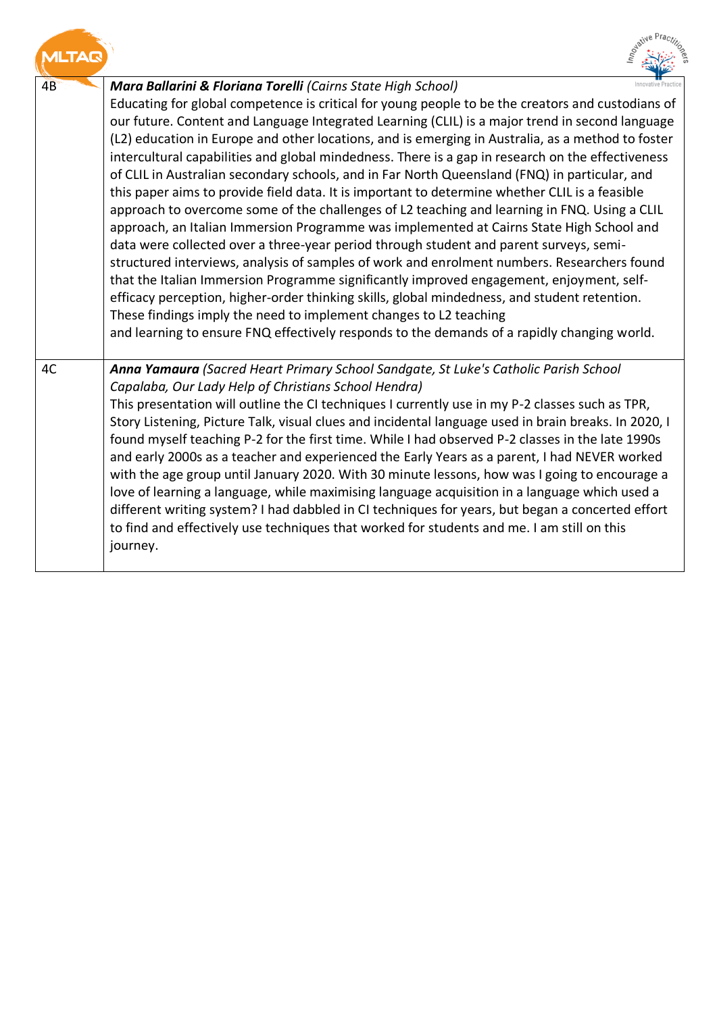<span id="page-4-1"></span><span id="page-4-0"></span>

|    | ative                                                                                                                                                                                                                                                                                                                                                                                                                                                                                                                                                                                                                                                                                                                                                                                                                                                                                                                                                                                                                                                                                                                                                                                                                                                                                                                                                                                                                                  |
|----|----------------------------------------------------------------------------------------------------------------------------------------------------------------------------------------------------------------------------------------------------------------------------------------------------------------------------------------------------------------------------------------------------------------------------------------------------------------------------------------------------------------------------------------------------------------------------------------------------------------------------------------------------------------------------------------------------------------------------------------------------------------------------------------------------------------------------------------------------------------------------------------------------------------------------------------------------------------------------------------------------------------------------------------------------------------------------------------------------------------------------------------------------------------------------------------------------------------------------------------------------------------------------------------------------------------------------------------------------------------------------------------------------------------------------------------|
| 4B | Mara Ballarini & Floriana Torelli (Cairns State High School)<br>Educating for global competence is critical for young people to be the creators and custodians of<br>our future. Content and Language Integrated Learning (CLIL) is a major trend in second language<br>(L2) education in Europe and other locations, and is emerging in Australia, as a method to foster<br>intercultural capabilities and global mindedness. There is a gap in research on the effectiveness<br>of CLIL in Australian secondary schools, and in Far North Queensland (FNQ) in particular, and<br>this paper aims to provide field data. It is important to determine whether CLIL is a feasible<br>approach to overcome some of the challenges of L2 teaching and learning in FNQ. Using a CLIL<br>approach, an Italian Immersion Programme was implemented at Cairns State High School and<br>data were collected over a three-year period through student and parent surveys, semi-<br>structured interviews, analysis of samples of work and enrolment numbers. Researchers found<br>that the Italian Immersion Programme significantly improved engagement, enjoyment, self-<br>efficacy perception, higher-order thinking skills, global mindedness, and student retention.<br>These findings imply the need to implement changes to L2 teaching<br>and learning to ensure FNQ effectively responds to the demands of a rapidly changing world. |
| 4C | Anna Yamaura (Sacred Heart Primary School Sandgate, St Luke's Catholic Parish School<br>Capalaba, Our Lady Help of Christians School Hendra)<br>This presentation will outline the CI techniques I currently use in my P-2 classes such as TPR,<br>Story Listening, Picture Talk, visual clues and incidental language used in brain breaks. In 2020, I<br>found myself teaching P-2 for the first time. While I had observed P-2 classes in the late 1990s<br>and early 2000s as a teacher and experienced the Early Years as a parent, I had NEVER worked<br>with the age group until January 2020. With 30 minute lessons, how was I going to encourage a<br>love of learning a language, while maximising language acquisition in a language which used a<br>different writing system? I had dabbled in CI techniques for years, but began a concerted effort<br>to find and effectively use techniques that worked for students and me. I am still on this<br>journey.                                                                                                                                                                                                                                                                                                                                                                                                                                                            |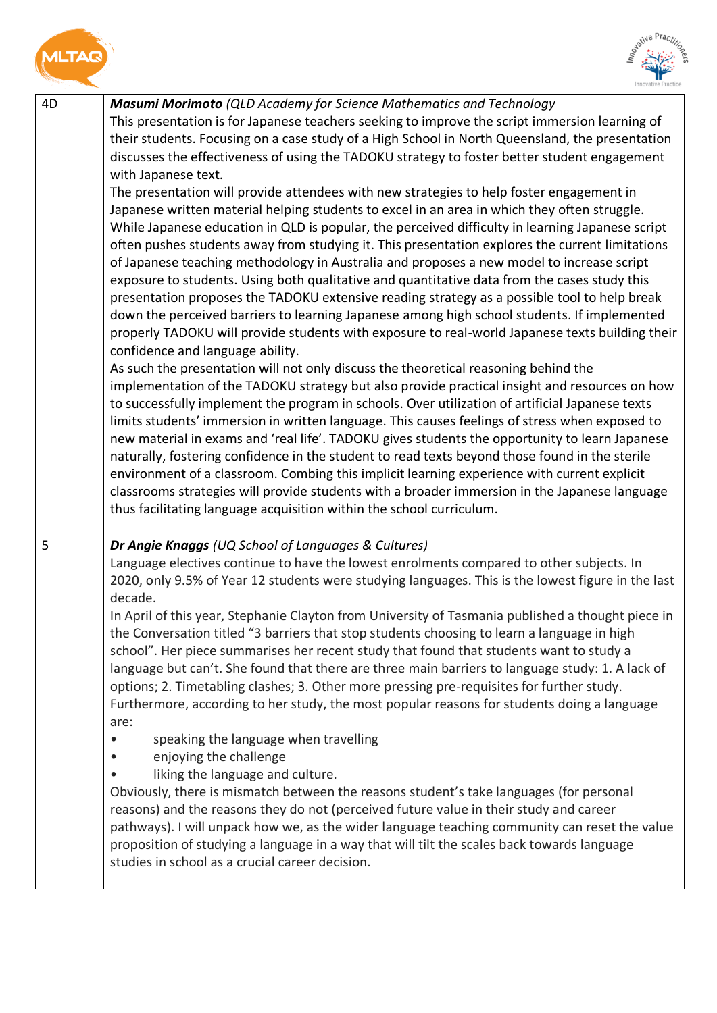

<span id="page-5-0"></span>



<span id="page-5-1"></span>

| 4D | Masumi Morimoto (QLD Academy for Science Mathematics and Technology<br>This presentation is for Japanese teachers seeking to improve the script immersion learning of<br>their students. Focusing on a case study of a High School in North Queensland, the presentation<br>discusses the effectiveness of using the TADOKU strategy to foster better student engagement<br>with Japanese text.<br>The presentation will provide attendees with new strategies to help foster engagement in<br>Japanese written material helping students to excel in an area in which they often struggle.<br>While Japanese education in QLD is popular, the perceived difficulty in learning Japanese script<br>often pushes students away from studying it. This presentation explores the current limitations<br>of Japanese teaching methodology in Australia and proposes a new model to increase script<br>exposure to students. Using both qualitative and quantitative data from the cases study this<br>presentation proposes the TADOKU extensive reading strategy as a possible tool to help break<br>down the perceived barriers to learning Japanese among high school students. If implemented<br>properly TADOKU will provide students with exposure to real-world Japanese texts building their<br>confidence and language ability.<br>As such the presentation will not only discuss the theoretical reasoning behind the<br>implementation of the TADOKU strategy but also provide practical insight and resources on how<br>to successfully implement the program in schools. Over utilization of artificial Japanese texts<br>limits students' immersion in written language. This causes feelings of stress when exposed to<br>new material in exams and 'real life'. TADOKU gives students the opportunity to learn Japanese<br>naturally, fostering confidence in the student to read texts beyond those found in the sterile<br>environment of a classroom. Combing this implicit learning experience with current explicit<br>classrooms strategies will provide students with a broader immersion in the Japanese language<br>thus facilitating language acquisition within the school curriculum. |
|----|----------------------------------------------------------------------------------------------------------------------------------------------------------------------------------------------------------------------------------------------------------------------------------------------------------------------------------------------------------------------------------------------------------------------------------------------------------------------------------------------------------------------------------------------------------------------------------------------------------------------------------------------------------------------------------------------------------------------------------------------------------------------------------------------------------------------------------------------------------------------------------------------------------------------------------------------------------------------------------------------------------------------------------------------------------------------------------------------------------------------------------------------------------------------------------------------------------------------------------------------------------------------------------------------------------------------------------------------------------------------------------------------------------------------------------------------------------------------------------------------------------------------------------------------------------------------------------------------------------------------------------------------------------------------------------------------------------------------------------------------------------------------------------------------------------------------------------------------------------------------------------------------------------------------------------------------------------------------------------------------------------------------------------------------------------------------------------------------------------------------------------------------------------------------------------------------------------------|
| 5  | Dr Angie Knaggs (UQ School of Languages & Cultures)<br>Language electives continue to have the lowest enrolments compared to other subjects. In<br>2020, only 9.5% of Year 12 students were studying languages. This is the lowest figure in the last<br>decade.<br>In April of this year, Stephanie Clayton from University of Tasmania published a thought piece in<br>the Conversation titled "3 barriers that stop students choosing to learn a language in high<br>school". Her piece summarises her recent study that found that students want to study a<br>language but can't. She found that there are three main barriers to language study: 1. A lack of<br>options; 2. Timetabling clashes; 3. Other more pressing pre-requisites for further study.<br>Furthermore, according to her study, the most popular reasons for students doing a language<br>are:<br>speaking the language when travelling<br>enjoying the challenge<br>liking the language and culture.<br>Obviously, there is mismatch between the reasons student's take languages (for personal<br>reasons) and the reasons they do not (perceived future value in their study and career<br>pathways). I will unpack how we, as the wider language teaching community can reset the value<br>proposition of studying a language in a way that will tilt the scales back towards language<br>studies in school as a crucial career decision.                                                                                                                                                                                                                                                                                                                                                                                                                                                                                                                                                                                                                                                                                                                                                                                         |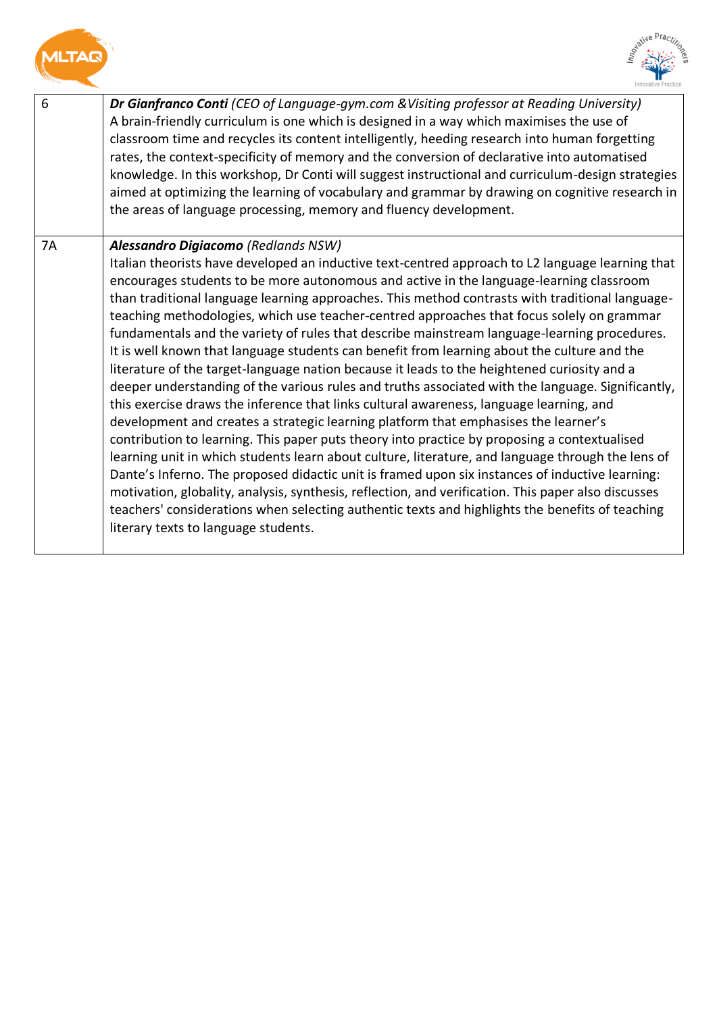<span id="page-6-1"></span><span id="page-6-0"></span>



| 6  | <b>Dr Gianfranco Conti</b> (CEO of Language-gym.com & Visiting professor at Reading University)<br>A brain-friendly curriculum is one which is designed in a way which maximises the use of<br>classroom time and recycles its content intelligently, heeding research into human forgetting<br>rates, the context-specificity of memory and the conversion of declarative into automatised<br>knowledge. In this workshop, Dr Conti will suggest instructional and curriculum-design strategies<br>aimed at optimizing the learning of vocabulary and grammar by drawing on cognitive research in<br>the areas of language processing, memory and fluency development.                                                                                                                                                                                                                                                                                                                                                                                                                                                                                                                                                                                                                                                                                                                                                                                                                                                                    |
|----|--------------------------------------------------------------------------------------------------------------------------------------------------------------------------------------------------------------------------------------------------------------------------------------------------------------------------------------------------------------------------------------------------------------------------------------------------------------------------------------------------------------------------------------------------------------------------------------------------------------------------------------------------------------------------------------------------------------------------------------------------------------------------------------------------------------------------------------------------------------------------------------------------------------------------------------------------------------------------------------------------------------------------------------------------------------------------------------------------------------------------------------------------------------------------------------------------------------------------------------------------------------------------------------------------------------------------------------------------------------------------------------------------------------------------------------------------------------------------------------------------------------------------------------------|
| 7A | Alessandro Digiacomo (Redlands NSW)                                                                                                                                                                                                                                                                                                                                                                                                                                                                                                                                                                                                                                                                                                                                                                                                                                                                                                                                                                                                                                                                                                                                                                                                                                                                                                                                                                                                                                                                                                        |
|    | Italian theorists have developed an inductive text-centred approach to L2 language learning that<br>encourages students to be more autonomous and active in the language-learning classroom<br>than traditional language learning approaches. This method contrasts with traditional language-<br>teaching methodologies, which use teacher-centred approaches that focus solely on grammar<br>fundamentals and the variety of rules that describe mainstream language-learning procedures.<br>It is well known that language students can benefit from learning about the culture and the<br>literature of the target-language nation because it leads to the heightened curiosity and a<br>deeper understanding of the various rules and truths associated with the language. Significantly,<br>this exercise draws the inference that links cultural awareness, language learning, and<br>development and creates a strategic learning platform that emphasises the learner's<br>contribution to learning. This paper puts theory into practice by proposing a contextualised<br>learning unit in which students learn about culture, literature, and language through the lens of<br>Dante's Inferno. The proposed didactic unit is framed upon six instances of inductive learning:<br>motivation, globality, analysis, synthesis, reflection, and verification. This paper also discusses<br>teachers' considerations when selecting authentic texts and highlights the benefits of teaching<br>literary texts to language students. |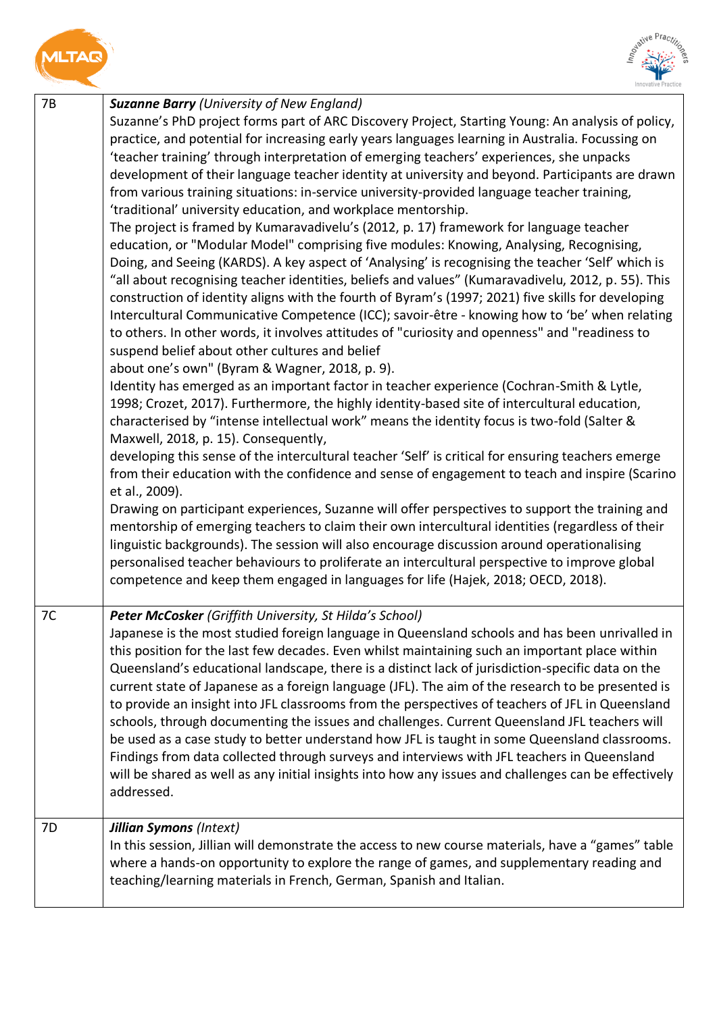<span id="page-7-0"></span>



<span id="page-7-2"></span><span id="page-7-1"></span>

| 7B | <b>Suzanne Barry (University of New England)</b>                                                                                                                                                    |
|----|-----------------------------------------------------------------------------------------------------------------------------------------------------------------------------------------------------|
|    | Suzanne's PhD project forms part of ARC Discovery Project, Starting Young: An analysis of policy,                                                                                                   |
|    | practice, and potential for increasing early years languages learning in Australia. Focussing on                                                                                                    |
|    | 'teacher training' through interpretation of emerging teachers' experiences, she unpacks                                                                                                            |
|    | development of their language teacher identity at university and beyond. Participants are drawn                                                                                                     |
|    | from various training situations: in-service university-provided language teacher training,                                                                                                         |
|    | 'traditional' university education, and workplace mentorship.                                                                                                                                       |
|    | The project is framed by Kumaravadivelu's (2012, p. 17) framework for language teacher                                                                                                              |
|    | education, or "Modular Model" comprising five modules: Knowing, Analysing, Recognising,                                                                                                             |
|    | Doing, and Seeing (KARDS). A key aspect of 'Analysing' is recognising the teacher 'Self' which is                                                                                                   |
|    | "all about recognising teacher identities, beliefs and values" (Kumaravadivelu, 2012, p. 55). This                                                                                                  |
|    | construction of identity aligns with the fourth of Byram's (1997; 2021) five skills for developing                                                                                                  |
|    | Intercultural Communicative Competence (ICC); savoir-être - knowing how to 'be' when relating                                                                                                       |
|    | to others. In other words, it involves attitudes of "curiosity and openness" and "readiness to                                                                                                      |
|    | suspend belief about other cultures and belief                                                                                                                                                      |
|    | about one's own" (Byram & Wagner, 2018, p. 9).                                                                                                                                                      |
|    | Identity has emerged as an important factor in teacher experience (Cochran-Smith & Lytle,                                                                                                           |
|    | 1998; Crozet, 2017). Furthermore, the highly identity-based site of intercultural education,                                                                                                        |
|    | characterised by "intense intellectual work" means the identity focus is two-fold (Salter &                                                                                                         |
|    | Maxwell, 2018, p. 15). Consequently,                                                                                                                                                                |
|    | developing this sense of the intercultural teacher 'Self' is critical for ensuring teachers emerge                                                                                                  |
|    | from their education with the confidence and sense of engagement to teach and inspire (Scarino                                                                                                      |
|    | et al., 2009).                                                                                                                                                                                      |
|    | Drawing on participant experiences, Suzanne will offer perspectives to support the training and<br>mentorship of emerging teachers to claim their own intercultural identities (regardless of their |
|    | linguistic backgrounds). The session will also encourage discussion around operationalising                                                                                                         |
|    | personalised teacher behaviours to proliferate an intercultural perspective to improve global                                                                                                       |
|    | competence and keep them engaged in languages for life (Hajek, 2018; OECD, 2018).                                                                                                                   |
|    |                                                                                                                                                                                                     |
| 7C | Peter McCosker (Griffith University, St Hilda's School)                                                                                                                                             |
|    | Japanese is the most studied foreign language in Queensland schools and has been unrivalled in                                                                                                      |
|    | this position for the last few decades. Even whilst maintaining such an important place within                                                                                                      |
|    | Queensland's educational landscape, there is a distinct lack of jurisdiction-specific data on the                                                                                                   |
|    | current state of Japanese as a foreign language (JFL). The aim of the research to be presented is                                                                                                   |
|    | to provide an insight into JFL classrooms from the perspectives of teachers of JFL in Queensland                                                                                                    |
|    | schools, through documenting the issues and challenges. Current Queensland JFL teachers will<br>be used as a case study to better understand how JFL is taught in some Queensland classrooms.       |
|    | Findings from data collected through surveys and interviews with JFL teachers in Queensland                                                                                                         |
|    | will be shared as well as any initial insights into how any issues and challenges can be effectively                                                                                                |
|    | addressed.                                                                                                                                                                                          |
|    |                                                                                                                                                                                                     |
| 7D | <b>Jillian Symons (Intext)</b>                                                                                                                                                                      |
|    | In this session, Jillian will demonstrate the access to new course materials, have a "games" table                                                                                                  |
|    | where a hands-on opportunity to explore the range of games, and supplementary reading and                                                                                                           |
|    | teaching/learning materials in French, German, Spanish and Italian.                                                                                                                                 |
|    |                                                                                                                                                                                                     |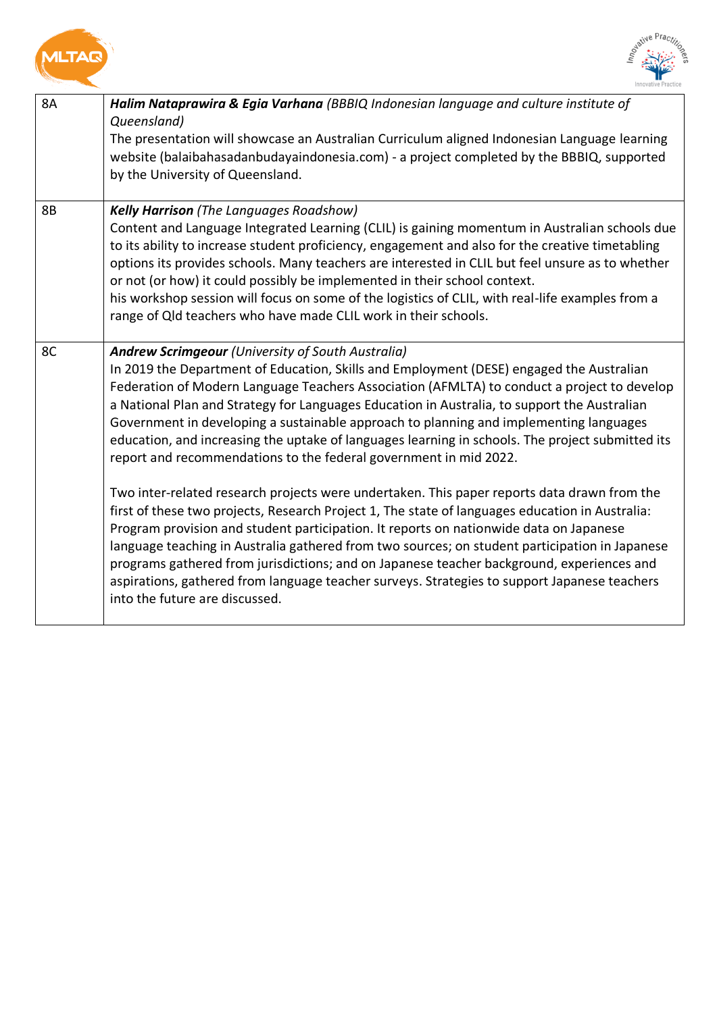<span id="page-8-2"></span><span id="page-8-1"></span><span id="page-8-0"></span>



| <b>8A</b> | Halim Nataprawira & Egia Varhana (BBBIQ Indonesian language and culture institute of<br>Queensland)<br>The presentation will showcase an Australian Curriculum aligned Indonesian Language learning<br>website (balaibahasadanbudayaindonesia.com) - a project completed by the BBBIQ, supported<br>by the University of Queensland.                                                                                                                                                                                                                                                                                                                                                                                                                                                                                                                                                                                                                                                                                                                                                                                                                                                                                                                |
|-----------|-----------------------------------------------------------------------------------------------------------------------------------------------------------------------------------------------------------------------------------------------------------------------------------------------------------------------------------------------------------------------------------------------------------------------------------------------------------------------------------------------------------------------------------------------------------------------------------------------------------------------------------------------------------------------------------------------------------------------------------------------------------------------------------------------------------------------------------------------------------------------------------------------------------------------------------------------------------------------------------------------------------------------------------------------------------------------------------------------------------------------------------------------------------------------------------------------------------------------------------------------------|
| 8B        | <b>Kelly Harrison</b> (The Languages Roadshow)<br>Content and Language Integrated Learning (CLIL) is gaining momentum in Australian schools due<br>to its ability to increase student proficiency, engagement and also for the creative timetabling<br>options its provides schools. Many teachers are interested in CLIL but feel unsure as to whether<br>or not (or how) it could possibly be implemented in their school context.<br>his workshop session will focus on some of the logistics of CLIL, with real-life examples from a<br>range of Qld teachers who have made CLIL work in their schools.                                                                                                                                                                                                                                                                                                                                                                                                                                                                                                                                                                                                                                         |
| 8C        | <b>Andrew Scrimgeour (University of South Australia)</b><br>In 2019 the Department of Education, Skills and Employment (DESE) engaged the Australian<br>Federation of Modern Language Teachers Association (AFMLTA) to conduct a project to develop<br>a National Plan and Strategy for Languages Education in Australia, to support the Australian<br>Government in developing a sustainable approach to planning and implementing languages<br>education, and increasing the uptake of languages learning in schools. The project submitted its<br>report and recommendations to the federal government in mid 2022.<br>Two inter-related research projects were undertaken. This paper reports data drawn from the<br>first of these two projects, Research Project 1, The state of languages education in Australia:<br>Program provision and student participation. It reports on nationwide data on Japanese<br>language teaching in Australia gathered from two sources; on student participation in Japanese<br>programs gathered from jurisdictions; and on Japanese teacher background, experiences and<br>aspirations, gathered from language teacher surveys. Strategies to support Japanese teachers<br>into the future are discussed. |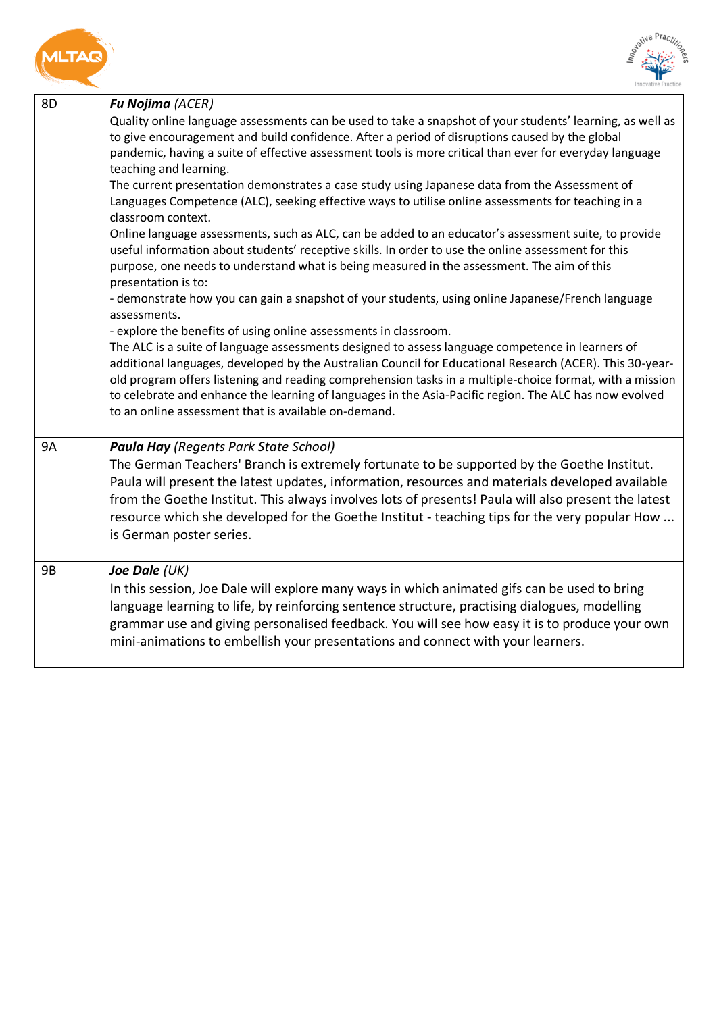<span id="page-9-0"></span>



<span id="page-9-2"></span><span id="page-9-1"></span>

| 8D        | Fu Nojima (ACER)                                                                                                                                                                                                                                                                                                                                                                                                                                                                           |
|-----------|--------------------------------------------------------------------------------------------------------------------------------------------------------------------------------------------------------------------------------------------------------------------------------------------------------------------------------------------------------------------------------------------------------------------------------------------------------------------------------------------|
|           | Quality online language assessments can be used to take a snapshot of your students' learning, as well as<br>to give encouragement and build confidence. After a period of disruptions caused by the global<br>pandemic, having a suite of effective assessment tools is more critical than ever for everyday language<br>teaching and learning.                                                                                                                                           |
|           | The current presentation demonstrates a case study using Japanese data from the Assessment of<br>Languages Competence (ALC), seeking effective ways to utilise online assessments for teaching in a<br>classroom context.                                                                                                                                                                                                                                                                  |
|           | Online language assessments, such as ALC, can be added to an educator's assessment suite, to provide<br>useful information about students' receptive skills. In order to use the online assessment for this<br>purpose, one needs to understand what is being measured in the assessment. The aim of this<br>presentation is to:                                                                                                                                                           |
|           | - demonstrate how you can gain a snapshot of your students, using online Japanese/French language<br>assessments.                                                                                                                                                                                                                                                                                                                                                                          |
|           | - explore the benefits of using online assessments in classroom.                                                                                                                                                                                                                                                                                                                                                                                                                           |
|           | The ALC is a suite of language assessments designed to assess language competence in learners of<br>additional languages, developed by the Australian Council for Educational Research (ACER). This 30-year-<br>old program offers listening and reading comprehension tasks in a multiple-choice format, with a mission<br>to celebrate and enhance the learning of languages in the Asia-Pacific region. The ALC has now evolved<br>to an online assessment that is available on-demand. |
| <b>9A</b> | <b>Paula Hay (Regents Park State School)</b>                                                                                                                                                                                                                                                                                                                                                                                                                                               |
|           | The German Teachers' Branch is extremely fortunate to be supported by the Goethe Institut.<br>Paula will present the latest updates, information, resources and materials developed available<br>from the Goethe Institut. This always involves lots of presents! Paula will also present the latest<br>resource which she developed for the Goethe Institut - teaching tips for the very popular How<br>is German poster series.                                                          |
| <b>9B</b> | Joe Dale (UK)<br>In this session, Joe Dale will explore many ways in which animated gifs can be used to bring<br>language learning to life, by reinforcing sentence structure, practising dialogues, modelling<br>grammar use and giving personalised feedback. You will see how easy it is to produce your own<br>mini-animations to embellish your presentations and connect with your learners.                                                                                         |